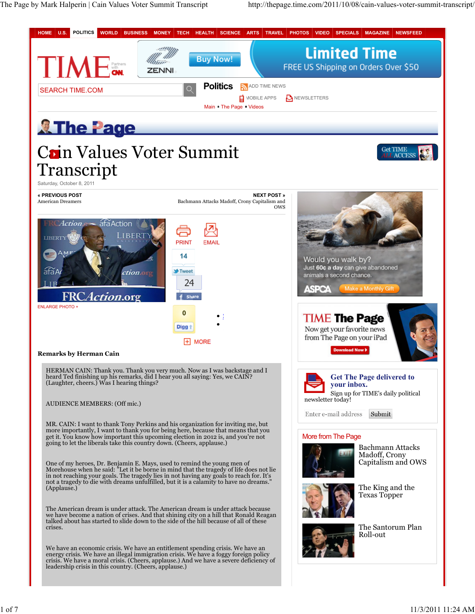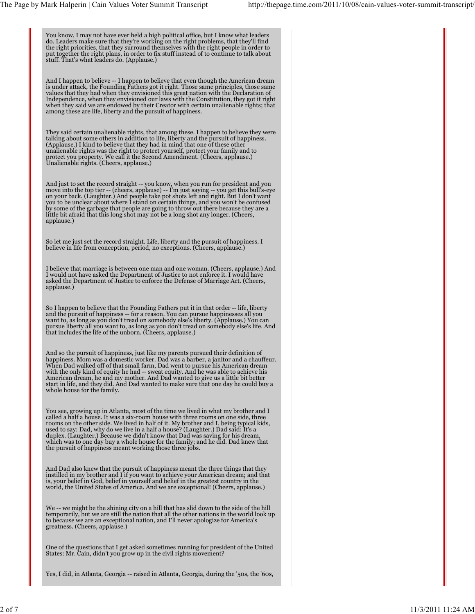You know, I may not have ever held a high political office, but I know what leaders<br>do. Leaders make sure that they're working on the right problems, that they'll find<br>the right priorities, that they surround themselves wi put together the right plans, in order to fix stuff instead of to continue to talk about stuff. That's what leaders do. (Applause.) And I happen to believe -- I happen to believe that even though the American dream is under attack, the Founding Fathers got it right. Those same principles, those same values that they had when they envisioned this great nation with the Declaration of<br>Independence, when they envisioned our laws with the Constitution, they got it right<br>when they said we are endowed by their Creator with c They said certain unalienable rights, that among these. I happen to believe they were talking about some others in addition to life, liberty and the pursuit of happiness. (Applause.) I kind to believe that they had in mind that one of these other unalienable rights was the right to protect yourself, protect your family and to protect you property. We call it the Second Amendment. (Cheers, applause.) Unalienable rights. (Cheers, applause.) And just to set the record straight -- you know, when you run for president and you move into the top tier -- (cheers, applause) -- I'm just saying -- you get this bull's-eye on your back. (Laughter.) And people take pot shots left and right. But I don't want<br>you to be unclear about where I stand on certain things, and you won't be confused<br>by some of the garbage that people are going to throw applause.) So let me just set the record straight. Life, liberty and the pursuit of happiness. I believe in life from conception, period, no exceptions. (Cheers, applause.) I believe that marriage is between one man and one woman. (Cheers, applause.) And I would not have asked the Department of Justice to not enforce it. I would have asked the Department of Justice to enforce the Defense of Marriage Act. (Cheers, applause.) So I happen to believe that the Founding Fathers put it in that order -- life, liberty and the pursuit of happiness -- for a reason. You can pursue happinesses all you want to, as long as you don't tread on somebody else's liberty. (Applause.) You can<br>pursue liberty all you want to, as long as you don't tread on somebody else's life. And<br>that includes the life of the unborn. (Cheers, app And so the pursuit of happiness, just like my parents pursued their definition of happiness. Mom was a domestic worker. Dad was a barber, a janitor and a chauffeur.<br>When Dad walked off of that small farm, Dad went to pursue his American dream<br>with the only kind of equity he had -- sweat equity. And he w start in life, and they did. And Dad wanted to make sure that one day he could buy a whole house for the family. You see, growing up in Atlanta, most of the time we lived in what my brother and I called a half a house. It was a six-room house with three rooms on one side, three rooms on the other side. We lived in half of it. My brother and I, being typical kids,<br>used to say: Dad, why do we live in a half a house? (Laughter.) Dad said: It's a<br>duplex. (Laughter.) Because we didn't know that Dad wa the pursuit of happiness meant working those three jobs. And Dad also knew that the pursuit of happiness meant the three things that they<br>instilled in my brother and I if you want to achieve your American dream; and that<br>is, your belief in God, belief in yourself and belief in t world, the United States of America. And we are exceptional! (Cheers, applause.) We -- we might be the shining city on a hill that has slid down to the side of the hill<br>temporarily, but we are still the nation that all the other nations in the world look up<br>to because we are an exceptional nation, and One of the questions that I get asked sometimes running for president of the United States: Mr. Cain, didn't you grow up in the civil rights movement? Yes, I did, in Atlanta, Georgia -- raised in Atlanta, Georgia, during the '50s, the '60s,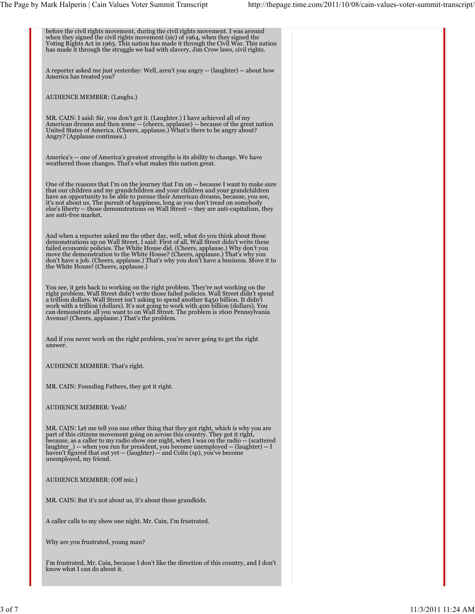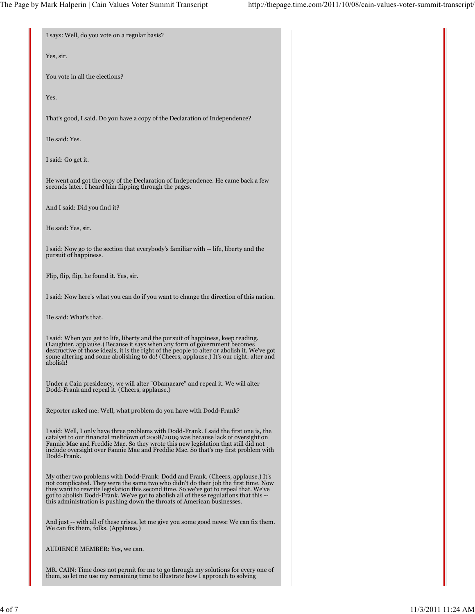| I says: Well, do you vote on a regular basis?                                                                                                                                                                                                                                                                                                                                                                                       |  |
|-------------------------------------------------------------------------------------------------------------------------------------------------------------------------------------------------------------------------------------------------------------------------------------------------------------------------------------------------------------------------------------------------------------------------------------|--|
| Yes, sir.                                                                                                                                                                                                                                                                                                                                                                                                                           |  |
| You vote in all the elections?                                                                                                                                                                                                                                                                                                                                                                                                      |  |
| Yes.                                                                                                                                                                                                                                                                                                                                                                                                                                |  |
| That's good, I said. Do you have a copy of the Declaration of Independence?                                                                                                                                                                                                                                                                                                                                                         |  |
| He said: Yes.                                                                                                                                                                                                                                                                                                                                                                                                                       |  |
| I said: Go get it.                                                                                                                                                                                                                                                                                                                                                                                                                  |  |
| He went and got the copy of the Declaration of Independence. He came back a few<br>seconds later. I heard him flipping through the pages.                                                                                                                                                                                                                                                                                           |  |
| And I said: Did you find it?                                                                                                                                                                                                                                                                                                                                                                                                        |  |
| He said: Yes, sir.                                                                                                                                                                                                                                                                                                                                                                                                                  |  |
| I said: Now go to the section that everybody's familiar with -- life, liberty and the<br>pursuit of happiness.                                                                                                                                                                                                                                                                                                                      |  |
| Flip, flip, flip, he found it. Yes, sir.                                                                                                                                                                                                                                                                                                                                                                                            |  |
| I said: Now here's what you can do if you want to change the direction of this nation.                                                                                                                                                                                                                                                                                                                                              |  |
| He said: What's that.                                                                                                                                                                                                                                                                                                                                                                                                               |  |
| I said: When you get to life, liberty and the pursuit of happiness, keep reading.<br>(Laughter, applause.) Because it says when any form of government becomes<br>destructive of those ideals, it is the right of the people to alter or abolish it. We've got<br>some altering and some abolishing to do! (Cheers, applause.) It's our right: alter and<br>abolish!                                                                |  |
| Under a Cain presidency, we will alter "Obamacare" and repeal it. We will alter<br>Dodd-Frank and repeal it. (Cheers, applause.)                                                                                                                                                                                                                                                                                                    |  |
| Reporter asked me: Well, what problem do you have with Dodd-Frank?                                                                                                                                                                                                                                                                                                                                                                  |  |
| I said: Well, I only have three problems with Dodd-Frank. I said the first one is, the<br>catalyst to our financial meltdown of 2008/2009 was because lack of oversight on<br>Fannie Mae and Freddie Mac. So they wrote this new legislation that still did not<br>include oversight over Fannie Mae and Freddie Mac. So that's my first problem with<br>Dodd-Frank.                                                                |  |
| My other two problems with Dodd-Frank: Dodd and Frank. (Cheers, applause.) It's<br>not complicated. They were the same two who didn't do their job the first time. Now<br>they want to rewrite legislation this second time. So we've got to repeal that. We've<br>got to abolish Dodd-Frank. We've got to abolish all of these regulations that this --<br>this administration is pushing down the throats of American businesses. |  |
| And just -- with all of these crises, let me give you some good news: We can fix them.<br>We can fix them, folks. (Applause.)                                                                                                                                                                                                                                                                                                       |  |
| AUDIENCE MEMBER: Yes, we can.                                                                                                                                                                                                                                                                                                                                                                                                       |  |
| MR. CAIN: Time does not permit for me to go through my solutions for every one of<br>them, so let me use my remaining time to illustrate how I approach to solving                                                                                                                                                                                                                                                                  |  |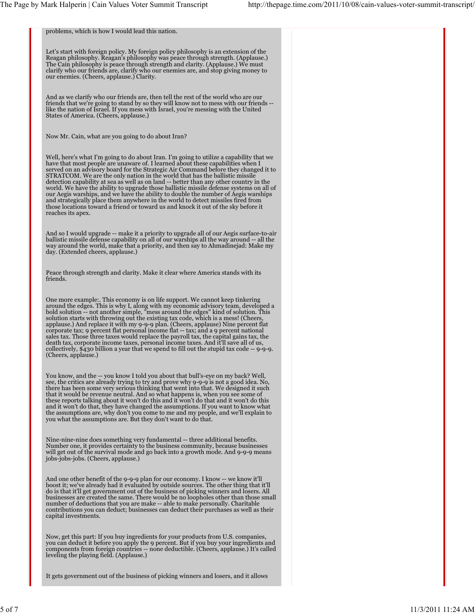problems, which is how I would lead this nation. Let's start with foreign policy. My foreign policy philosophy is an extension of the Reagan philosophy. Reagan's philosophy was peace through strength. (Applause.) The Cain philosophy is peace through strength and clarity. (Applause.) We must clarify who our friends are, clarify who our enemies are, and stop giving money to our enemies. (Cheers, applause.) Clarity. And as we clarify who our friends are, then tell the rest of the world who are our friends that we're going to stand by so they will know not to mess with our friends -- like the nation of Israel. If you mess with Israel, you're messing with the United States of America. (Cheers, applause.) Now Mr. Cain, what are you going to do about Iran? Well, here's what I'm going to do about Iran. I'm going to utilize a capability that we have that most people are unaware of. I learned about these capabilities when I served on an advisory board for the Strategic Air Command before they changed it to STRATCOM. We are the only nation in the world that has the ballistic missile detection capability at sea as well as on land -- better than any other country in the<br>world. We have the ability to upgrade those ballistic missile defense systems on all of<br>our Aegis warships, and we have the ability to those locations toward a friend or toward us and knock it out of the sky before it reaches its apex. And so I would upgrade -- make it a priority to upgrade all of our Aegis surface-to-air ballistic missile defense capability on all of our warships all the way around -- all the way around the world, make that a priority, and then say to Ahmadinejad: Make my day. (Extended cheers, applause.) Peace through strength and clarity. Make it clear where America stands with its friends. One more example:. This economy is on life support. We cannot keep tinkering around the edges. This is why I, along with my economic advisory team, developed a<br>bold solution -- not another simple, "mess around the edges" kind of solution. This<br>solution starts with throwing out the existing tax code corporate tax; 9 percent flat personal income flat -- tax; and a 9 percent national<br>sales tax. Those three taxes would replace the payroll tax, the capital gains tax, the<br>death tax, corporate income taxes, personal income collectively, \$430 billion a year that we spend to fill out the stupid tax code -- 9-9-9. (Cheers, applause.) You know, and the -- you know I told you about that bull's-eye on my back? Well, see, the critics are already trying to try and prove why 9-9-9 is not a good idea. No, there has been some very serious thinking that went into that. We designed it such that it would be revenue neutral. And so what happens is, when you see some of these reports talking about it won't do this and it won't do that and it won't do this and it won't do that, they have changed the assumptions. If you want to know what the assumptions are, why don't you come to me and my people, and we'll explain to you what the assumptions are. But they don't want to do that. Nine-nine-nine does something very fundamental -- three additional benefits. Number one, it provides certainty to the business community, because businesses will get out of the survival mode and go back into a growth mode. And 9-9-9 means jobs-jobs-jobs. (Cheers, applause.) And one other benefit of the 9-9-9 plan for our economy. I know -- we know it'll<br>boost it; we've already had it evaluated by outside sources. The other thing that it'll<br>do is that it'll get government out of the business o businesses are created the same. There would be no loopholes other than those small<br>number of deductions that you are make -- able to make personally. Charitable<br>contributions you can deduct; businesses can deduct their pu capital investments. Now, get this part: If you buy ingredients for your products from U.S. companies, you can deduct it before you apply the 9 percent. But if you buy your ingredients and components from foreign countries -- none deductible. (Cheers, applause.) It's called leveling the playing field. (Applause.) It gets government out of the business of picking winners and losers, and it allows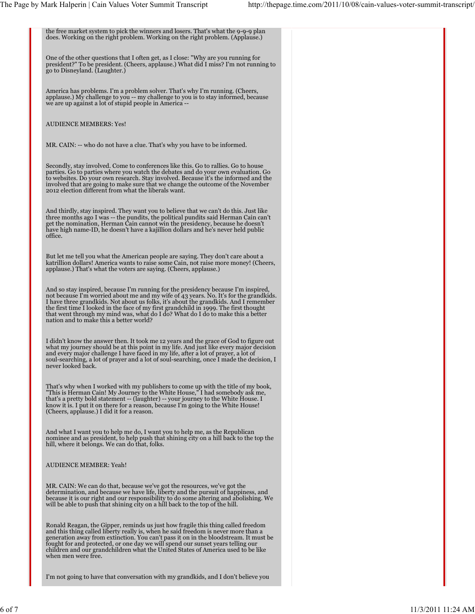| the free market system to pick the winners and losers. That's what the 9-9-9 plan<br>does. Working on the right problem. Working on the right problem. (Applause.)                                                                                                                                                                                                                                                                                                                         |  |
|--------------------------------------------------------------------------------------------------------------------------------------------------------------------------------------------------------------------------------------------------------------------------------------------------------------------------------------------------------------------------------------------------------------------------------------------------------------------------------------------|--|
| One of the other questions that I often get, as I close: "Why are you running for<br>president?" To be president. (Cheers, applause.) What did I miss? I'm not running to<br>go to Disneyland. (Laughter.)                                                                                                                                                                                                                                                                                 |  |
| America has problems. I'm a problem solver. That's why I'm running. (Cheers,<br>applause.) My challenge to you -- my challenge to you is to stay informed, because<br>we are up against a lot of stupid people in America --                                                                                                                                                                                                                                                               |  |
| <b>AUDIENCE MEMBERS: Yes!</b>                                                                                                                                                                                                                                                                                                                                                                                                                                                              |  |
| MR. CAIN: -- who do not have a clue. That's why you have to be informed.                                                                                                                                                                                                                                                                                                                                                                                                                   |  |
| Secondly, stay involved. Come to conferences like this. Go to rallies. Go to house<br>parties. Go to parties where you watch the debates and do your own evaluation. Go<br>to websites. Do your own research. Stay involved. Because it's the informed and the<br>involved that are going to make sure that we change the outcome of the November<br>2012 election different from what the liberals want.                                                                                  |  |
| And thirdly, stay inspired. They want you to believe that we can't do this. Just like<br>three months ago I was -- the pundits, the political pundits said Herman Cain can't<br>get the nomination, Herman Cain cannot win the presidency, because he doesn't<br>have high name-ID, he doesn't have a kajillion dollars and he's never held public<br>office.                                                                                                                              |  |
| But let me tell you what the American people are saying. They don't care about a<br>katrillion dollars! America wants to raise some Cain, not raise more money! (Cheers,<br>applause.) That's what the voters are saying. (Cheers, applause.)                                                                                                                                                                                                                                              |  |
| And so stay inspired, because I'm running for the presidency because I'm inspired,<br>not because I'm worried about me and my wife of 43 years. No. It's for the grandkids.<br>I have three grandkids. Not about us folks, it's about the grandkids. And I remember<br>the first time I looked in the face of my first grandchild in 1999. The first thought<br>that went through my mind was, what do I do? What do I do to make this a better<br>nation and to make this a better world? |  |
| I didn't know the answer then. It took me 12 years and the grace of God to figure out<br>what my journey should be at this point in my life. And just like every major decision<br>and every major challenge I have faced in my life, after a lot of prayer, a lot of<br>soul-searching, a lot of prayer and a lot of soul-searching, once I made the decision, I<br>never looked back.                                                                                                    |  |
| That's why when I worked with my publishers to come up with the title of my book,<br>"This is Herman Cain! My Journey to the White House," I had somebody ask me,<br>that's a pretty bold statement -- (laughter) -- your journey to the White House. I<br>know it is. I put it on there for a reason, because I'm going to the White House!<br>(Cheers, applause.) I did it for a reason.                                                                                                 |  |
| And what I want you to help me do, I want you to help me, as the Republican<br>nominee and as president, to help push that shining city on a hill back to the top the<br>hill, where it belongs. We can do that, folks.                                                                                                                                                                                                                                                                    |  |
| <b>AUDIENCE MEMBER: Yeah!</b>                                                                                                                                                                                                                                                                                                                                                                                                                                                              |  |
| MR. CAIN: We can do that, because we've got the resources, we've got the<br>determination, and because we have life, liberty and the pursuit of happiness, and<br>because it is our right and our responsibility to do some altering and abolishing. We<br>will be able to push that shining city on a hill back to the top of the hill.                                                                                                                                                   |  |
| Ronald Reagan, the Gipper, reminds us just how fragile this thing called freedom<br>and this thing called liberty really is, when he said freedom is never more than a<br>generation away from extinction. You can't pass it on in the bloodstream. It must be<br>fought for and protected, or one day we will spend our sunset years telling our<br>children and our grandchildren what the United States of America used to be like<br>when men were free.                               |  |
| I'm not going to have that conversation with my grandkids, and I don't believe you                                                                                                                                                                                                                                                                                                                                                                                                         |  |